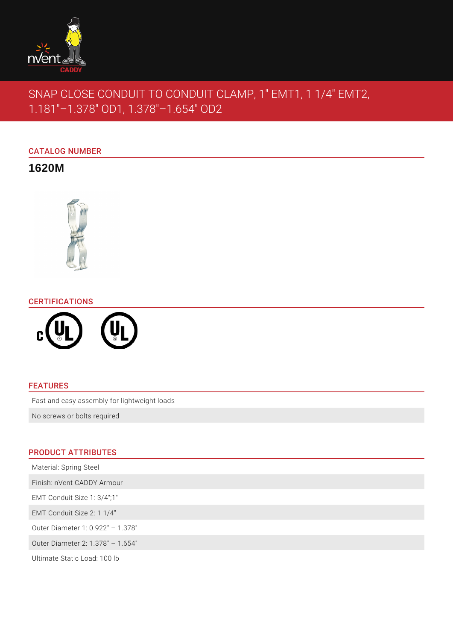

# SNAP CLOSE CONDUIT TO CONDUIT CLAMP, 1" EMT1, 1 1/4" EMT2, 1.181"–1.378" OD1, 1.378"–1.654" OD2

# CATALOG NUMBER

**1620M**



# CERTIFICATIONS



### FEATURES

Fast and easy assembly for lightweight loads

No screws or bolts required

# PRODUCT ATTRIBUTES

| Material: Spring Steel            |
|-----------------------------------|
| Finish: nVent CADDY Armour        |
| EMT Conduit Size 1: 3/4":1"       |
| EMT Conduit Size 2: 1 1/4"        |
| Outer Diameter 1: 0.922" - 1.378" |
| Outer Diameter 2: 1.378" - 1.654" |
| Ultimate Static Load: 100 lb      |